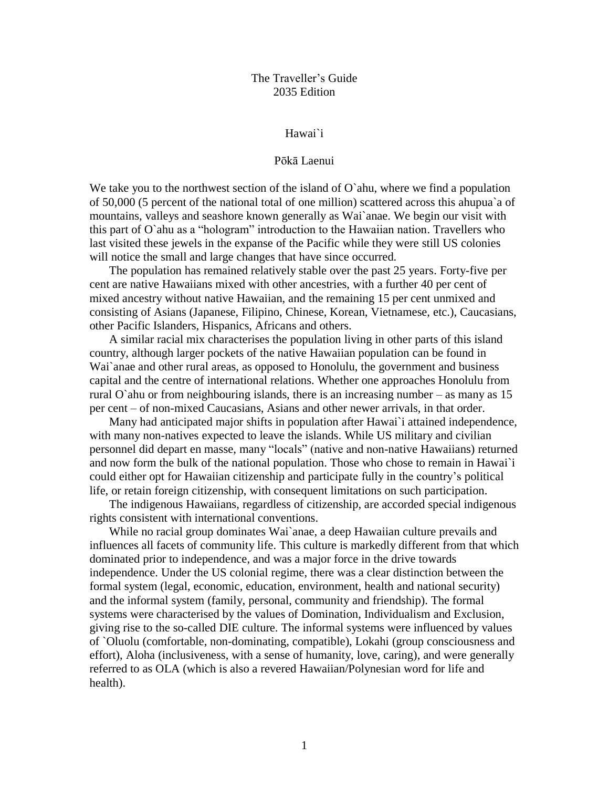# The Traveller's Guide 2035 Edition

#### Hawai`i

## Pōkā Laenui

We take you to the northwest section of the island of  $O<sup>o</sup>$  ahu, where we find a population of 50,000 (5 percent of the national total of one million) scattered across this ahupua`a of mountains, valleys and seashore known generally as Wai`anae. We begin our visit with this part of O`ahu as a "hologram" introduction to the Hawaiian nation. Travellers who last visited these jewels in the expanse of the Pacific while they were still US colonies will notice the small and large changes that have since occurred.

The population has remained relatively stable over the past 25 years. Forty-five per cent are native Hawaiians mixed with other ancestries, with a further 40 per cent of mixed ancestry without native Hawaiian, and the remaining 15 per cent unmixed and consisting of Asians (Japanese, Filipino, Chinese, Korean, Vietnamese, etc.), Caucasians, other Pacific Islanders, Hispanics, Africans and others.

A similar racial mix characterises the population living in other parts of this island country, although larger pockets of the native Hawaiian population can be found in Wai`anae and other rural areas, as opposed to Honolulu, the government and business capital and the centre of international relations. Whether one approaches Honolulu from rural O`ahu or from neighbouring islands, there is an increasing number – as many as 15 per cent – of non-mixed Caucasians, Asians and other newer arrivals, in that order.

Many had anticipated major shifts in population after Hawai`i attained independence, with many non-natives expected to leave the islands. While US military and civilian personnel did depart en masse, many "locals" (native and non-native Hawaiians) returned and now form the bulk of the national population. Those who chose to remain in Hawai`i could either opt for Hawaiian citizenship and participate fully in the country's political life, or retain foreign citizenship, with consequent limitations on such participation.

The indigenous Hawaiians, regardless of citizenship, are accorded special indigenous rights consistent with international conventions.

While no racial group dominates Wai`anae, a deep Hawaiian culture prevails and influences all facets of community life. This culture is markedly different from that which dominated prior to independence, and was a major force in the drive towards independence. Under the US colonial regime, there was a clear distinction between the formal system (legal, economic, education, environment, health and national security) and the informal system (family, personal, community and friendship). The formal systems were characterised by the values of Domination, Individualism and Exclusion, giving rise to the so-called DIE culture. The informal systems were influenced by values of `Oluolu (comfortable, non-dominating, compatible), Lokahi (group consciousness and effort), Aloha (inclusiveness, with a sense of humanity, love, caring), and were generally referred to as OLA (which is also a revered Hawaiian/Polynesian word for life and health).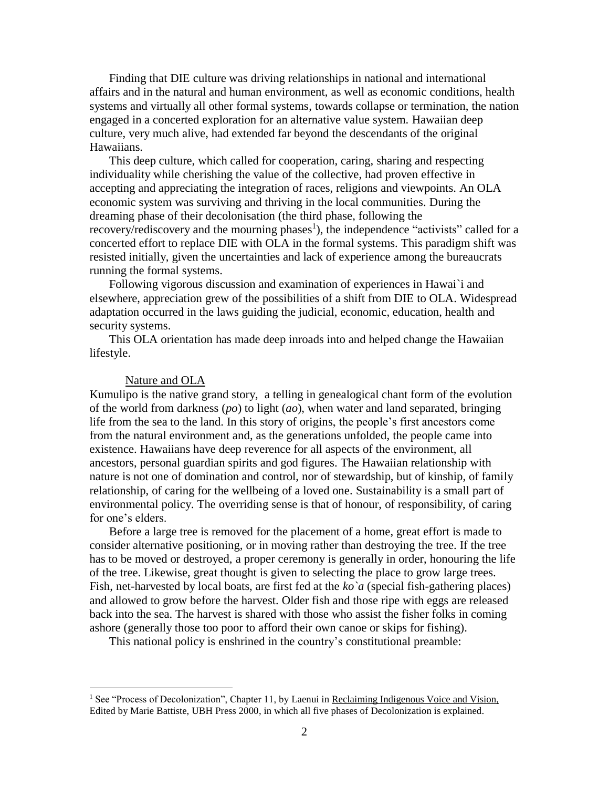Finding that DIE culture was driving relationships in national and international affairs and in the natural and human environment, as well as economic conditions, health systems and virtually all other formal systems, towards collapse or termination, the nation engaged in a concerted exploration for an alternative value system. Hawaiian deep culture, very much alive, had extended far beyond the descendants of the original Hawaiians.

This deep culture, which called for cooperation, caring, sharing and respecting individuality while cherishing the value of the collective, had proven effective in accepting and appreciating the integration of races, religions and viewpoints. An OLA economic system was surviving and thriving in the local communities. During the dreaming phase of their decolonisation (the third phase, following the recovery/rediscovery and the mourning phases<sup>1</sup>), the independence "activists" called for a concerted effort to replace DIE with OLA in the formal systems. This paradigm shift was resisted initially, given the uncertainties and lack of experience among the bureaucrats running the formal systems.

Following vigorous discussion and examination of experiences in Hawai`i and elsewhere, appreciation grew of the possibilities of a shift from DIE to OLA. Widespread adaptation occurred in the laws guiding the judicial, economic, education, health and security systems.

This OLA orientation has made deep inroads into and helped change the Hawaiian lifestyle.

### Nature and OLA

 $\overline{a}$ 

Kumulipo is the native grand story, a telling in genealogical chant form of the evolution of the world from darkness (*po*) to light (*ao*), when water and land separated, bringing life from the sea to the land. In this story of origins, the people's first ancestors come from the natural environment and, as the generations unfolded, the people came into existence. Hawaiians have deep reverence for all aspects of the environment, all ancestors, personal guardian spirits and god figures. The Hawaiian relationship with nature is not one of domination and control, nor of stewardship, but of kinship, of family relationship, of caring for the wellbeing of a loved one. Sustainability is a small part of environmental policy. The overriding sense is that of honour, of responsibility, of caring for one's elders.

Before a large tree is removed for the placement of a home, great effort is made to consider alternative positioning, or in moving rather than destroying the tree. If the tree has to be moved or destroyed, a proper ceremony is generally in order, honouring the life of the tree. Likewise, great thought is given to selecting the place to grow large trees. Fish, net-harvested by local boats, are first fed at the *ko`a* (special fish-gathering places) and allowed to grow before the harvest. Older fish and those ripe with eggs are released back into the sea. The harvest is shared with those who assist the fisher folks in coming ashore (generally those too poor to afford their own canoe or skips for fishing).

This national policy is enshrined in the country's constitutional preamble:

<sup>&</sup>lt;sup>1</sup> See "Process of Decolonization", Chapter 11, by Laenui in <u>Reclaiming Indigenous Voice and Vision,</u> Edited by Marie Battiste, UBH Press 2000, in which all five phases of Decolonization is explained.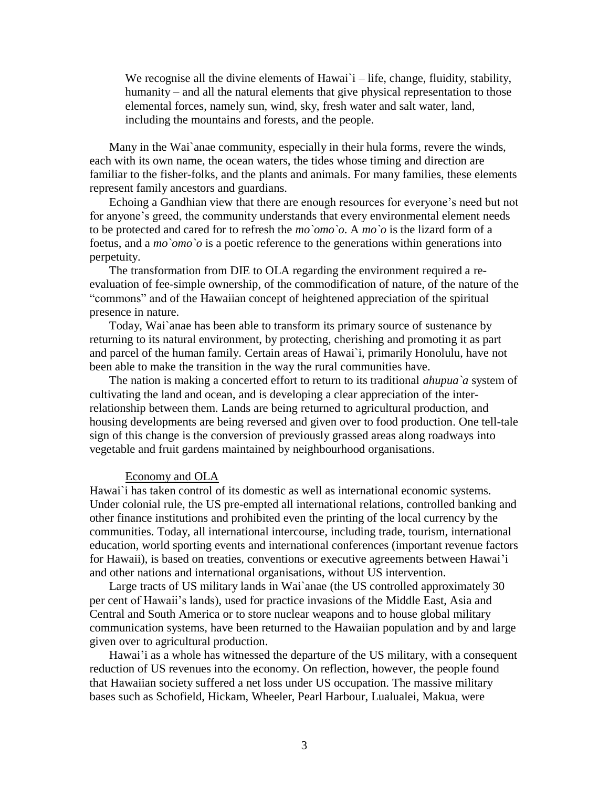We recognise all the divine elements of Hawai`i – life, change, fluidity, stability, humanity – and all the natural elements that give physical representation to those elemental forces, namely sun, wind, sky, fresh water and salt water, land, including the mountains and forests, and the people.

Many in the Wai`anae community, especially in their hula forms, revere the winds, each with its own name, the ocean waters, the tides whose timing and direction are familiar to the fisher-folks, and the plants and animals. For many families, these elements represent family ancestors and guardians.

Echoing a Gandhian view that there are enough resources for everyone's need but not for anyone's greed, the community understands that every environmental element needs to be protected and cared for to refresh the *mo`omo`o*. A *mo`o* is the lizard form of a foetus, and a *mo`omo`o* is a poetic reference to the generations within generations into perpetuity.

The transformation from DIE to OLA regarding the environment required a reevaluation of fee-simple ownership, of the commodification of nature, of the nature of the "commons" and of the Hawaiian concept of heightened appreciation of the spiritual presence in nature.

Today, Wai`anae has been able to transform its primary source of sustenance by returning to its natural environment, by protecting, cherishing and promoting it as part and parcel of the human family. Certain areas of Hawai`i, primarily Honolulu, have not been able to make the transition in the way the rural communities have.

The nation is making a concerted effort to return to its traditional *ahupua`a* system of cultivating the land and ocean, and is developing a clear appreciation of the interrelationship between them. Lands are being returned to agricultural production, and housing developments are being reversed and given over to food production. One tell-tale sign of this change is the conversion of previously grassed areas along roadways into vegetable and fruit gardens maintained by neighbourhood organisations.

## Economy and OLA

Hawai`i has taken control of its domestic as well as international economic systems. Under colonial rule, the US pre-empted all international relations, controlled banking and other finance institutions and prohibited even the printing of the local currency by the communities. Today, all international intercourse, including trade, tourism, international education, world sporting events and international conferences (important revenue factors for Hawaii), is based on treaties, conventions or executive agreements between Hawai'i and other nations and international organisations, without US intervention.

Large tracts of US military lands in Wai`anae (the US controlled approximately 30 per cent of Hawaii's lands), used for practice invasions of the Middle East, Asia and Central and South America or to store nuclear weapons and to house global military communication systems, have been returned to the Hawaiian population and by and large given over to agricultural production.

Hawai'i as a whole has witnessed the departure of the US military, with a consequent reduction of US revenues into the economy. On reflection, however, the people found that Hawaiian society suffered a net loss under US occupation. The massive military bases such as Schofield, Hickam, Wheeler, Pearl Harbour, Lualualei, Makua, were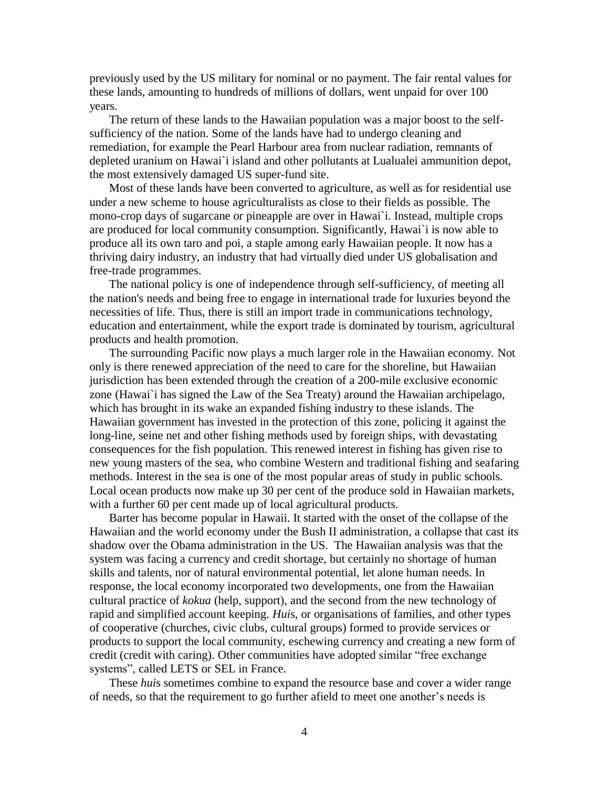previously used by the US military for nominal or no payment. The fair rental values for these lands, amounting to hundreds of millions of dollars, went unpaid for over 100 years.

The return of these lands to the Hawaiian population was a major boost to the selfsufficiency of the nation. Some of the lands have had to undergo cleaning and remediation, for example the Pearl Harbour area from nuclear radiation, remnants of depleted uranium on Hawai`i island and other pollutants at Lualualei ammunition depot, the most extensively damaged US super-fund site.

Most of these lands have been converted to agriculture, as well as for residential use under a new scheme to house agriculturalists as close to their fields as possible. The mono-crop days of sugarcane or pineapple are over in Hawai`i. Instead, multiple crops are produced for local community consumption. Significantly, Hawai`i is now able to produce all its own taro and poi, a staple among early Hawaiian people. It now has a thriving dairy industry, an industry that had virtually died under US globalisation and free-trade programmes.

The national policy is one of independence through self-sufficiency, of meeting all the nation's needs and being free to engage in international trade for luxuries beyond the necessities of life. Thus, there is still an import trade in communications technology, education and entertainment, while the export trade is dominated by tourism, agricultural products and health promotion.

The surrounding Pacific now plays a much larger role in the Hawaiian economy. Not only is there renewed appreciation of the need to care for the shoreline, but Hawaiian jurisdiction has been extended through the creation of a 200-mile exclusive economic zone (Hawai`i has signed the Law of the Sea Treaty) around the Hawaiian archipelago, which has brought in its wake an expanded fishing industry to these islands. The Hawaiian government has invested in the protection of this zone, policing it against the long-line, seine net and other fishing methods used by foreign ships, with devastating consequences for the fish population. This renewed interest in fishing has given rise to new young masters of the sea, who combine Western and traditional fishing and seafaring methods. Interest in the sea is one of the most popular areas of study in public schools. Local ocean products now make up 30 per cent of the produce sold in Hawaiian markets, with a further 60 per cent made up of local agricultural products.

Barter has become popular in Hawaii. It started with the onset of the collapse of the Hawaiian and the world economy under the Bush II administration, a collapse that cast its shadow over the Obama administration in the US. The Hawaiian analysis was that the system was facing a currency and credit shortage, but certainly no shortage of human skills and talents, nor of natural environmental potential, let alone human needs. In response, the local economy incorporated two developments, one from the Hawaiian cultural practice of *kokua* (help, support), and the second from the new technology of rapid and simplified account keeping. *Hui*s, or organisations of families, and other types of cooperative (churches, civic clubs, cultural groups) formed to provide services or products to support the local community, eschewing currency and creating a new form of credit (credit with caring). Other communities have adopted similar "free exchange systems", called LETS or SEL in France.

These *hui*s sometimes combine to expand the resource base and cover a wider range of needs, so that the requirement to go further afield to meet one another's needs is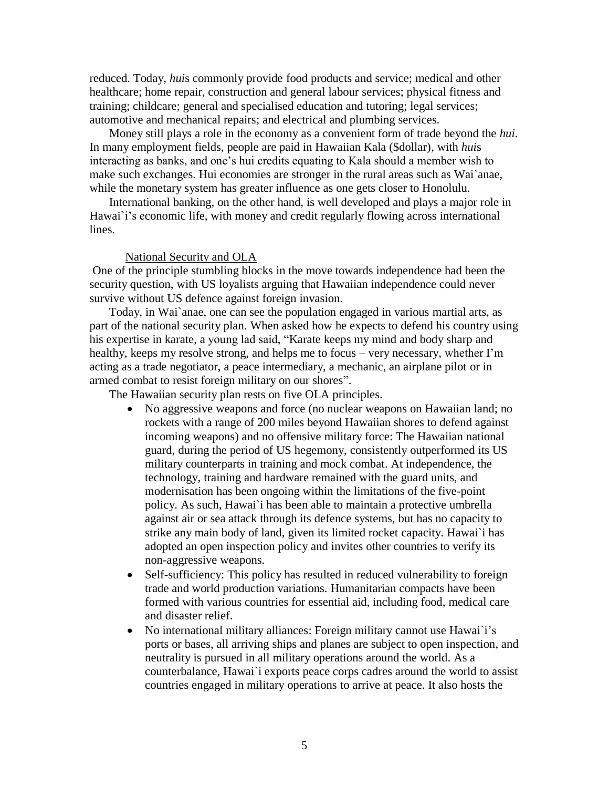reduced. Today, *hui*s commonly provide food products and service; medical and other healthcare; home repair, construction and general labour services; physical fitness and training; childcare; general and specialised education and tutoring; legal services; automotive and mechanical repairs; and electrical and plumbing services.

Money still plays a role in the economy as a convenient form of trade beyond the *hui*. In many employment fields, people are paid in Hawaiian Kala (\$dollar), with *hui*s interacting as banks, and one's hui credits equating to Kala should a member wish to make such exchanges. Hui economies are stronger in the rural areas such as Wai`anae, while the monetary system has greater influence as one gets closer to Honolulu.

International banking, on the other hand, is well developed and plays a major role in Hawai`i's economic life, with money and credit regularly flowing across international lines.

### National Security and OLA

One of the principle stumbling blocks in the move towards independence had been the security question, with US loyalists arguing that Hawaiian independence could never survive without US defence against foreign invasion.

Today, in Wai`anae, one can see the population engaged in various martial arts, as part of the national security plan. When asked how he expects to defend his country using his expertise in karate, a young lad said, "Karate keeps my mind and body sharp and healthy, keeps my resolve strong, and helps me to focus – very necessary, whether I'm acting as a trade negotiator, a peace intermediary, a mechanic, an airplane pilot or in armed combat to resist foreign military on our shores".

The Hawaiian security plan rests on five OLA principles.

- No aggressive weapons and force (no nuclear weapons on Hawaiian land; no rockets with a range of 200 miles beyond Hawaiian shores to defend against incoming weapons) and no offensive military force: The Hawaiian national guard, during the period of US hegemony, consistently outperformed its US military counterparts in training and mock combat. At independence, the technology, training and hardware remained with the guard units, and modernisation has been ongoing within the limitations of the five-point policy. As such, Hawai`i has been able to maintain a protective umbrella against air or sea attack through its defence systems, but has no capacity to strike any main body of land, given its limited rocket capacity. Hawai`i has adopted an open inspection policy and invites other countries to verify its non-aggressive weapons.
- Self-sufficiency: This policy has resulted in reduced vulnerability to foreign trade and world production variations. Humanitarian compacts have been formed with various countries for essential aid, including food, medical care and disaster relief.
- No international military alliances: Foreign military cannot use Hawai`i's ports or bases, all arriving ships and planes are subject to open inspection, and neutrality is pursued in all military operations around the world. As a counterbalance, Hawai`i exports peace corps cadres around the world to assist countries engaged in military operations to arrive at peace. It also hosts the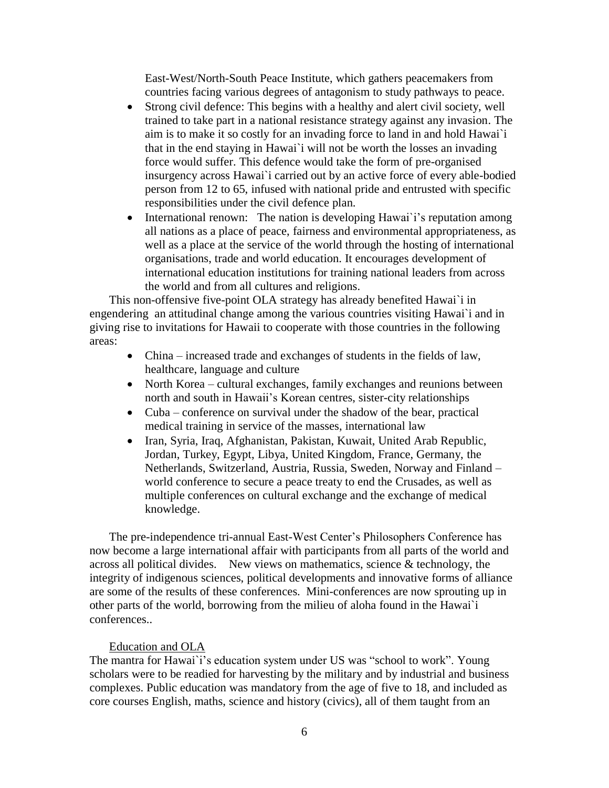East-West/North-South Peace Institute, which gathers peacemakers from countries facing various degrees of antagonism to study pathways to peace.

- Strong civil defence: This begins with a healthy and alert civil society, well trained to take part in a national resistance strategy against any invasion. The aim is to make it so costly for an invading force to land in and hold Hawai`i that in the end staying in Hawai`i will not be worth the losses an invading force would suffer. This defence would take the form of pre-organised insurgency across Hawai`i carried out by an active force of every able-bodied person from 12 to 65, infused with national pride and entrusted with specific responsibilities under the civil defence plan.
- International renown: The nation is developing Hawai'i's reputation among all nations as a place of peace, fairness and environmental appropriateness, as well as a place at the service of the world through the hosting of international organisations, trade and world education. It encourages development of international education institutions for training national leaders from across the world and from all cultures and religions.

This non-offensive five-point OLA strategy has already benefited Hawai`i in engendering an attitudinal change among the various countries visiting Hawai`i and in giving rise to invitations for Hawaii to cooperate with those countries in the following areas:

- China increased trade and exchanges of students in the fields of law, healthcare, language and culture
- North Korea cultural exchanges, family exchanges and reunions between north and south in Hawaii's Korean centres, sister-city relationships
- Cuba conference on survival under the shadow of the bear, practical medical training in service of the masses, international law
- Iran, Syria, Iraq, Afghanistan, Pakistan, Kuwait, United Arab Republic, Jordan, Turkey, Egypt, Libya, United Kingdom, France, Germany, the Netherlands, Switzerland, Austria, Russia, Sweden, Norway and Finland – world conference to secure a peace treaty to end the Crusades, as well as multiple conferences on cultural exchange and the exchange of medical knowledge.

The pre-independence tri-annual East-West Center's Philosophers Conference has now become a large international affair with participants from all parts of the world and across all political divides. New views on mathematics, science  $&$  technology, the integrity of indigenous sciences, political developments and innovative forms of alliance are some of the results of these conferences. Mini-conferences are now sprouting up in other parts of the world, borrowing from the milieu of aloha found in the Hawai`i conferences..

## Education and OLA

The mantra for Hawai`i's education system under US was "school to work". Young scholars were to be readied for harvesting by the military and by industrial and business complexes. Public education was mandatory from the age of five to 18, and included as core courses English, maths, science and history (civics), all of them taught from an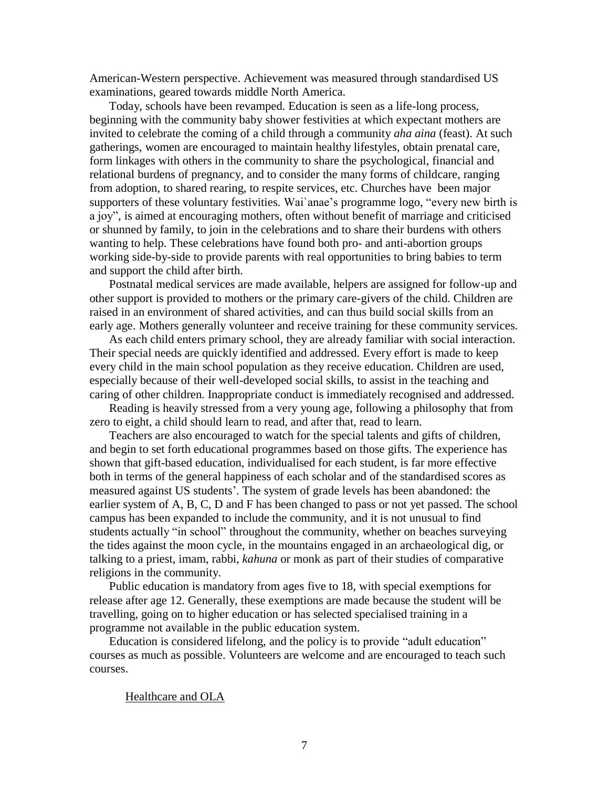American-Western perspective. Achievement was measured through standardised US examinations, geared towards middle North America.

Today, schools have been revamped. Education is seen as a life-long process, beginning with the community baby shower festivities at which expectant mothers are invited to celebrate the coming of a child through a community *aha aina* (feast). At such gatherings, women are encouraged to maintain healthy lifestyles, obtain prenatal care, form linkages with others in the community to share the psychological, financial and relational burdens of pregnancy, and to consider the many forms of childcare, ranging from adoption, to shared rearing, to respite services, etc. Churches have been major supporters of these voluntary festivities. Wai`anae's programme logo, "every new birth is a joy", is aimed at encouraging mothers, often without benefit of marriage and criticised or shunned by family, to join in the celebrations and to share their burdens with others wanting to help. These celebrations have found both pro- and anti-abortion groups working side-by-side to provide parents with real opportunities to bring babies to term and support the child after birth.

Postnatal medical services are made available, helpers are assigned for follow-up and other support is provided to mothers or the primary care-givers of the child. Children are raised in an environment of shared activities, and can thus build social skills from an early age. Mothers generally volunteer and receive training for these community services.

As each child enters primary school, they are already familiar with social interaction. Their special needs are quickly identified and addressed. Every effort is made to keep every child in the main school population as they receive education. Children are used, especially because of their well-developed social skills, to assist in the teaching and caring of other children. Inappropriate conduct is immediately recognised and addressed.

Reading is heavily stressed from a very young age, following a philosophy that from zero to eight, a child should learn to read, and after that, read to learn.

Teachers are also encouraged to watch for the special talents and gifts of children, and begin to set forth educational programmes based on those gifts. The experience has shown that gift-based education, individualised for each student, is far more effective both in terms of the general happiness of each scholar and of the standardised scores as measured against US students'. The system of grade levels has been abandoned: the earlier system of A, B, C, D and F has been changed to pass or not yet passed. The school campus has been expanded to include the community, and it is not unusual to find students actually "in school" throughout the community, whether on beaches surveying the tides against the moon cycle, in the mountains engaged in an archaeological dig, or talking to a priest, imam, rabbi, *kahuna* or monk as part of their studies of comparative religions in the community.

Public education is mandatory from ages five to 18, with special exemptions for release after age 12. Generally, these exemptions are made because the student will be travelling, going on to higher education or has selected specialised training in a programme not available in the public education system.

Education is considered lifelong, and the policy is to provide "adult education" courses as much as possible. Volunteers are welcome and are encouraged to teach such courses.

Healthcare and OLA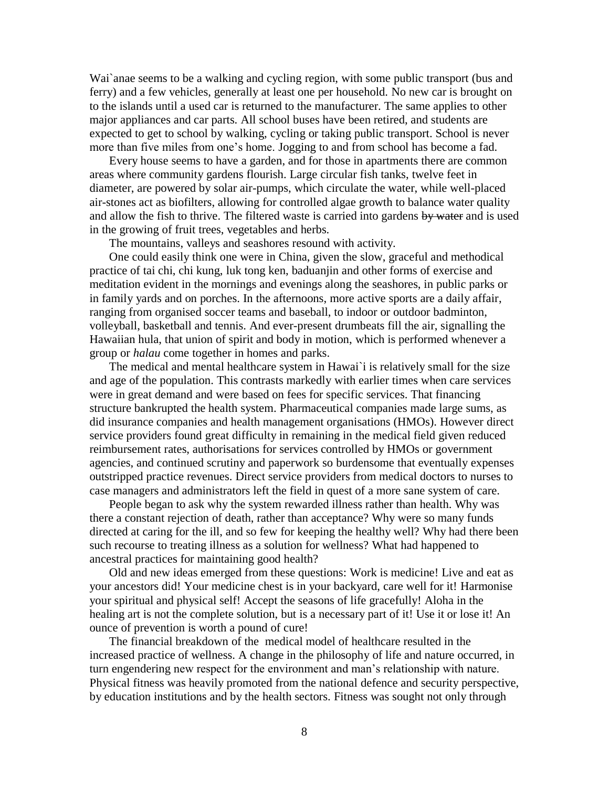Wai`anae seems to be a walking and cycling region, with some public transport (bus and ferry) and a few vehicles, generally at least one per household. No new car is brought on to the islands until a used car is returned to the manufacturer. The same applies to other major appliances and car parts. All school buses have been retired, and students are expected to get to school by walking, cycling or taking public transport. School is never more than five miles from one's home. Jogging to and from school has become a fad.

Every house seems to have a garden, and for those in apartments there are common areas where community gardens flourish. Large circular fish tanks, twelve feet in diameter, are powered by solar air-pumps, which circulate the water, while well-placed air-stones act as biofilters, allowing for controlled algae growth to balance water quality and allow the fish to thrive. The filtered waste is carried into gardens by water and is used in the growing of fruit trees, vegetables and herbs.

The mountains, valleys and seashores resound with activity.

One could easily think one were in China, given the slow, graceful and methodical practice of tai chi, chi kung, luk tong ken, baduanjin and other forms of exercise and meditation evident in the mornings and evenings along the seashores, in public parks or in family yards and on porches. In the afternoons, more active sports are a daily affair, ranging from organised soccer teams and baseball, to indoor or outdoor badminton, volleyball, basketball and tennis. And ever-present drumbeats fill the air, signalling the Hawaiian hula, that union of spirit and body in motion, which is performed whenever a group or *halau* come together in homes and parks.

The medical and mental healthcare system in Hawai`i is relatively small for the size and age of the population. This contrasts markedly with earlier times when care services were in great demand and were based on fees for specific services. That financing structure bankrupted the health system. Pharmaceutical companies made large sums, as did insurance companies and health management organisations (HMOs). However direct service providers found great difficulty in remaining in the medical field given reduced reimbursement rates, authorisations for services controlled by HMOs or government agencies, and continued scrutiny and paperwork so burdensome that eventually expenses outstripped practice revenues. Direct service providers from medical doctors to nurses to case managers and administrators left the field in quest of a more sane system of care.

People began to ask why the system rewarded illness rather than health. Why was there a constant rejection of death, rather than acceptance? Why were so many funds directed at caring for the ill, and so few for keeping the healthy well? Why had there been such recourse to treating illness as a solution for wellness? What had happened to ancestral practices for maintaining good health?

Old and new ideas emerged from these questions: Work is medicine! Live and eat as your ancestors did! Your medicine chest is in your backyard, care well for it! Harmonise your spiritual and physical self! Accept the seasons of life gracefully! Aloha in the healing art is not the complete solution, but is a necessary part of it! Use it or lose it! An ounce of prevention is worth a pound of cure!

The financial breakdown of the medical model of healthcare resulted in the increased practice of wellness. A change in the philosophy of life and nature occurred, in turn engendering new respect for the environment and man's relationship with nature. Physical fitness was heavily promoted from the national defence and security perspective, by education institutions and by the health sectors. Fitness was sought not only through